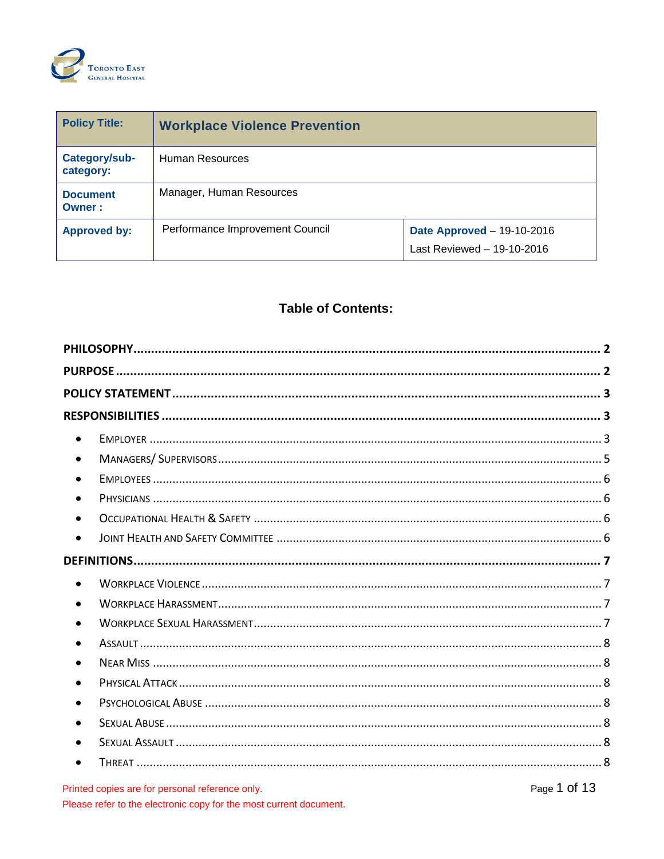

| <b>Policy Title:</b>       | <b>Workplace Violence Prevention</b> |                                                                 |
|----------------------------|--------------------------------------|-----------------------------------------------------------------|
| Category/sub-<br>category: | Human Resources                      |                                                                 |
| <b>Document</b><br>Owner:  | Manager, Human Resources             |                                                                 |
| <b>Approved by:</b>        | Performance Improvement Council      | <b>Date Approved - 19-10-2016</b><br>Last Reviewed - 19-10-2016 |

# **Table of Contents:**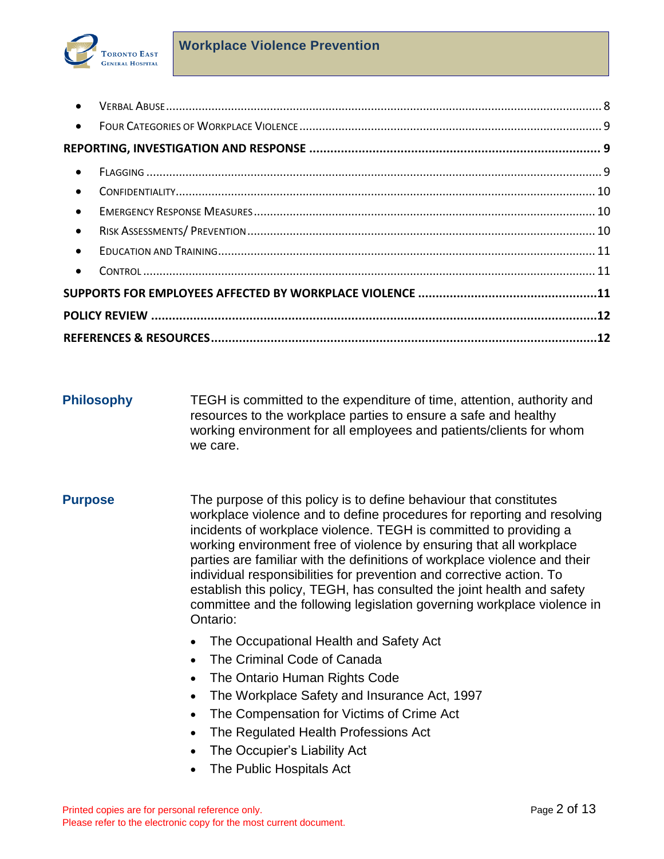

| $\bullet$ |  |
|-----------|--|
| $\bullet$ |  |
|           |  |
| $\bullet$ |  |
| $\bullet$ |  |
| $\bullet$ |  |
| $\bullet$ |  |
| $\bullet$ |  |
| $\bullet$ |  |
|           |  |
|           |  |
|           |  |

- <span id="page-1-0"></span>**Philosophy TEGH** is committed to the expenditure of time, attention, authority and resources to the workplace parties to ensure a safe and healthy working environment for all employees and patients/clients for whom we care.
- <span id="page-1-1"></span>**Purpose** The purpose of this policy is to define behaviour that constitutes workplace violence and to define procedures for reporting and resolving incidents of workplace violence. TEGH is committed to providing a working environment free of violence by ensuring that all workplace parties are familiar with the definitions of workplace violence and their individual responsibilities for prevention and corrective action. To establish this policy, TEGH, has consulted the joint health and safety committee and the following legislation governing workplace violence in Ontario:
	- The Occupational Health and Safety Act
	- The Criminal Code of Canada
	- The Ontario Human Rights Code
	- The Workplace Safety and Insurance Act, 1997
	- The Compensation for Victims of Crime Act
	- The Regulated Health Professions Act
	- The Occupier's Liability Act
	- The Public Hospitals Act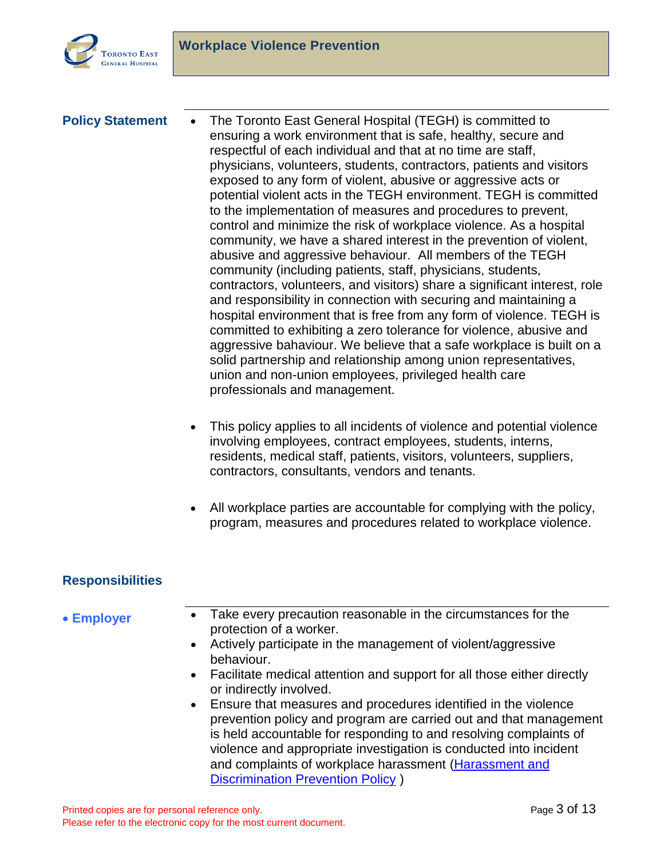

<span id="page-2-0"></span>**Policy Statement •** The Toronto East General Hospital (TEGH) is committed to ensuring a work environment that is safe, healthy, secure and respectful of each individual and that at no time are staff, physicians, volunteers, students, contractors, patients and visitors exposed to any form of violent, abusive or aggressive acts or potential violent acts in the TEGH environment. TEGH is committed to the implementation of measures and procedures to prevent, control and minimize the risk of workplace violence. As a hospital community, we have a shared interest in the prevention of violent, abusive and aggressive behaviour. All members of the TEGH community (including patients, staff, physicians, students, contractors, volunteers, and visitors) share a significant interest, role and responsibility in connection with securing and maintaining a hospital environment that is free from any form of violence. TEGH is committed to exhibiting a zero tolerance for violence, abusive and aggressive bahaviour. We believe that a safe workplace is built on a solid partnership and relationship among union representatives, union and non-union employees, privileged health care professionals and management.

- This policy applies to all incidents of violence and potential violence involving employees, contract employees, students, interns, residents, medical staff, patients, visitors, volunteers, suppliers, contractors, consultants, vendors and tenants.
- All workplace parties are accountable for complying with the policy, program, measures and procedures related to workplace violence.

## <span id="page-2-1"></span>**Responsibilities**

- <span id="page-2-2"></span>**Employer** • Take every precaution reasonable in the circumstances for the protection of a worker.
	- Actively participate in the management of violent/aggressive behaviour.
	- Facilitate medical attention and support for all those either directly or indirectly involved.
	- Ensure that measures and procedures identified in the violence prevention policy and program are carried out and that management is held accountable for responding to and resolving complaints of violence and appropriate investigation is conducted into incident and complaints of workplace harassment [\(Harassment and](http://sqlapp1tegh/docview/?docid=4677)  [Discrimination Prevention Policy](http://sqlapp1tegh/docview/?docid=4677) )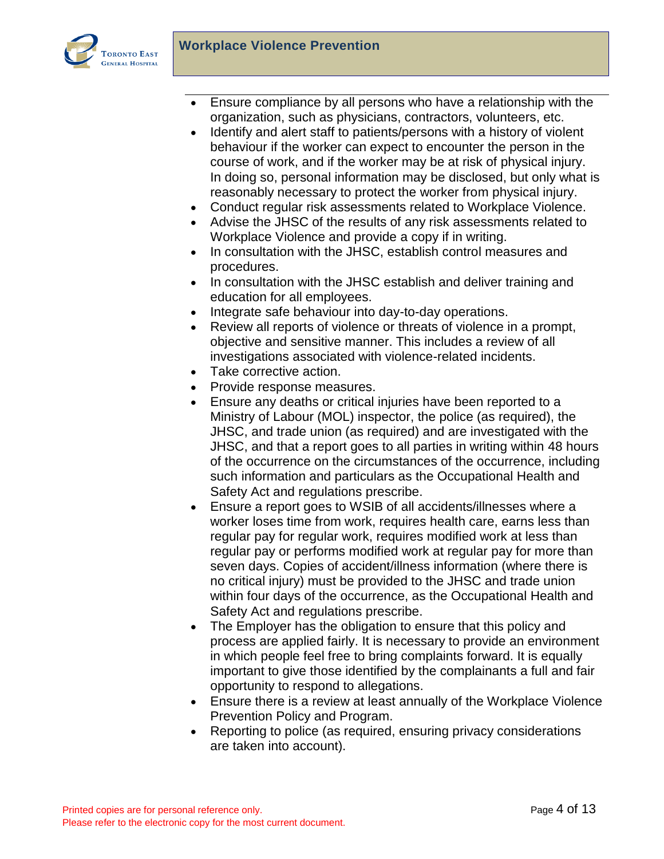

- Ensure compliance by all persons who have a relationship with the organization, such as physicians, contractors, volunteers, etc.
- Identify and alert staff to patients/persons with a history of violent behaviour if the worker can expect to encounter the person in the course of work, and if the worker may be at risk of physical injury. In doing so, personal information may be disclosed, but only what is reasonably necessary to protect the worker from physical injury.
- Conduct regular risk assessments related to Workplace Violence.
- Advise the JHSC of the results of any risk assessments related to Workplace Violence and provide a copy if in writing.
- In consultation with the JHSC, establish control measures and procedures.
- In consultation with the JHSC establish and deliver training and education for all employees.
- Integrate safe behaviour into day-to-day operations.
- Review all reports of violence or threats of violence in a prompt, objective and sensitive manner. This includes a review of all investigations associated with violence-related incidents.
- Take corrective action.
- Provide response measures.
- Ensure any deaths or critical injuries have been reported to a Ministry of Labour (MOL) inspector, the police (as required), the JHSC, and trade union (as required) and are investigated with the JHSC, and that a report goes to all parties in writing within 48 hours of the occurrence on the circumstances of the occurrence, including such information and particulars as the Occupational Health and Safety Act and regulations prescribe.
- Ensure a report goes to WSIB of all accidents/illnesses where a worker loses time from work, requires health care, earns less than regular pay for regular work, requires modified work at less than regular pay or performs modified work at regular pay for more than seven days. Copies of accident/illness information (where there is no critical injury) must be provided to the JHSC and trade union within four days of the occurrence, as the Occupational Health and Safety Act and regulations prescribe.
- The Employer has the obligation to ensure that this policy and process are applied fairly. It is necessary to provide an environment in which people feel free to bring complaints forward. It is equally important to give those identified by the complainants a full and fair opportunity to respond to allegations.
- Ensure there is a review at least annually of the Workplace Violence Prevention Policy and Program.
- Reporting to police (as required, ensuring privacy considerations are taken into account).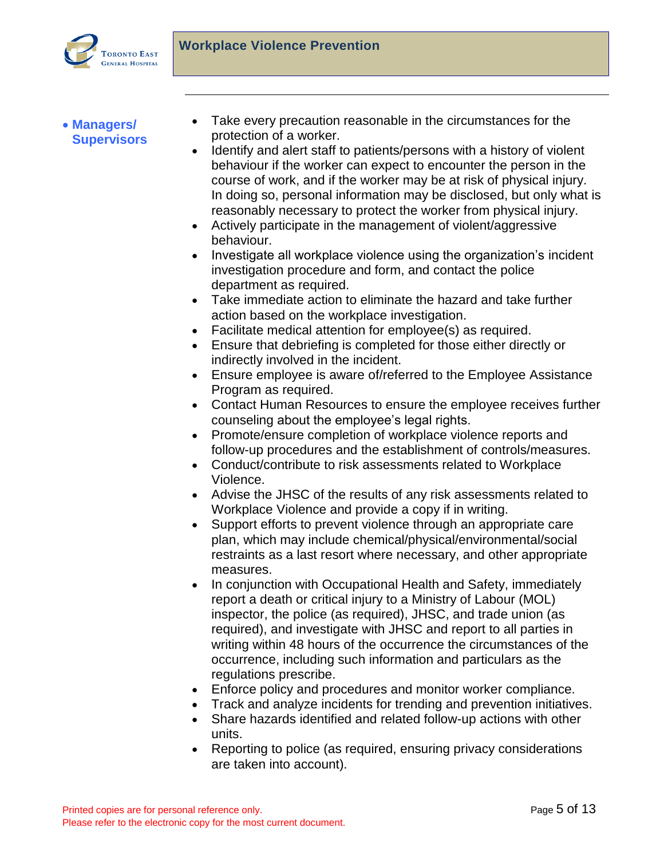

<span id="page-4-0"></span> **Managers/ Supervisors**

- Take every precaution reasonable in the circumstances for the protection of a worker.
- Identify and alert staff to patients/persons with a history of violent behaviour if the worker can expect to encounter the person in the course of work, and if the worker may be at risk of physical injury. In doing so, personal information may be disclosed, but only what is reasonably necessary to protect the worker from physical injury.
- Actively participate in the management of violent/aggressive behaviour.
- Investigate all workplace violence using the organization's incident investigation procedure and form, and contact the police department as required.
- Take immediate action to eliminate the hazard and take further action based on the workplace investigation.
- Facilitate medical attention for employee(s) as required.
- Ensure that debriefing is completed for those either directly or indirectly involved in the incident.
- Ensure employee is aware of/referred to the Employee Assistance Program as required.
- Contact Human Resources to ensure the employee receives further counseling about the employee's legal rights.
- Promote/ensure completion of workplace violence reports and follow-up procedures and the establishment of controls/measures.
- Conduct/contribute to risk assessments related to Workplace Violence.
- Advise the JHSC of the results of any risk assessments related to Workplace Violence and provide a copy if in writing.
- Support efforts to prevent violence through an appropriate care plan, which may include chemical/physical/environmental/social restraints as a last resort where necessary, and other appropriate measures.
- In conjunction with Occupational Health and Safety, immediately report a death or critical injury to a Ministry of Labour (MOL) inspector, the police (as required), JHSC, and trade union (as required), and investigate with JHSC and report to all parties in writing within 48 hours of the occurrence the circumstances of the occurrence, including such information and particulars as the regulations prescribe.
- Enforce policy and procedures and monitor worker compliance.
- Track and analyze incidents for trending and prevention initiatives.
- Share hazards identified and related follow-up actions with other units.
- Reporting to police (as required, ensuring privacy considerations are taken into account).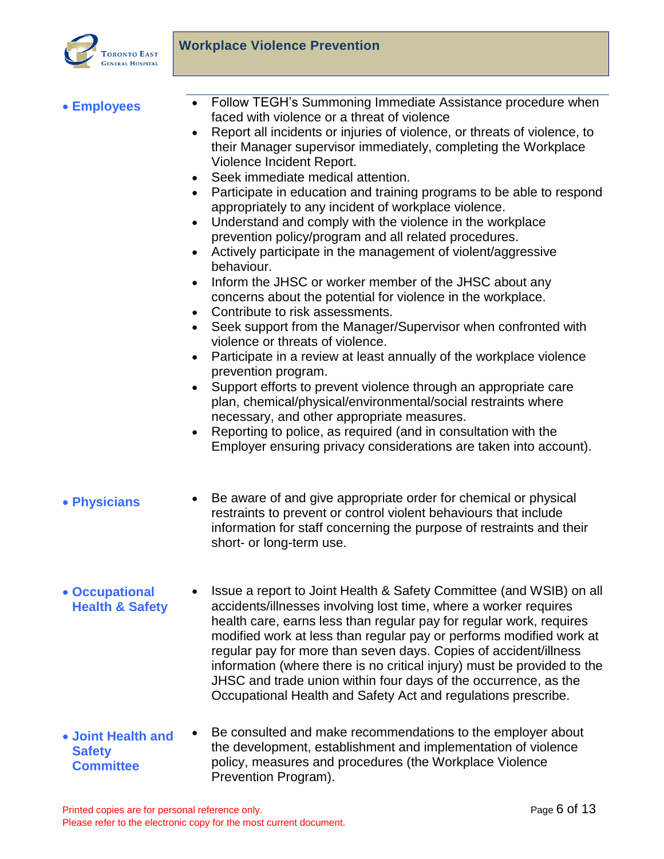

- 
- <span id="page-5-0"></span>**Employees** • Follow TEGH's [Summoning Immediate Assistance procedure](http://icare.tegh.on.ca/bins/doc.aspx?id=10012) when faced with violence or a threat of violence
	- Report all incidents or injuries of violence, or threats of violence, to their Manager supervisor immediately, completing the [Workplace](http://icare.tegh.on.ca/bins/doc.asp?rdc_id=6669)  [Violence Incident Report.](http://icare.tegh.on.ca/bins/doc.asp?rdc_id=6669)
	- Seek immediate medical attention.
	- Participate in education and training programs to be able to respond appropriately to any incident of workplace violence.
	- Understand and comply with the violence in the workplace prevention policy/program and all related procedures.
	- Actively participate in the management of violent/aggressive behaviour.
	- Inform the JHSC or worker member of the JHSC about any concerns about the potential for violence in the workplace.
	- Contribute to risk assessments.
	- Seek support from the Manager/Supervisor when confronted with violence or threats of violence.
	- Participate in a review at least annually of the workplace violence prevention program.
	- Support efforts to prevent violence through an appropriate care plan, chemical/physical/environmental/social restraints where necessary, and other appropriate measures.
	- Reporting to police, as required (and in consultation with the Employer ensuring privacy considerations are taken into account).
- <span id="page-5-1"></span>• Physicians • Be aware of and give appropriate order for chemical or physical restraints to prevent or control violent behaviours that include information for staff concerning the purpose of restraints and their short- or long-term use.
- <span id="page-5-2"></span> **Occupational Health & Safety** Issue a report to Joint Health & Safety Committee (and WSIB) on all accidents/illnesses involving lost time, where a worker requires health care, earns less than regular pay for regular work, requires modified work at less than regular pay or performs modified work at regular pay for more than seven days. Copies of accident/illness information (where there is no critical injury) must be provided to the JHSC and trade union within four days of the occurrence, as the Occupational Health and Safety Act and regulations prescribe.
- <span id="page-5-3"></span> **Joint Health and Safety Committee** Be consulted and make recommendations to the employer about the development, establishment and implementation of violence policy, measures and procedures (the Workplace Violence Prevention Program).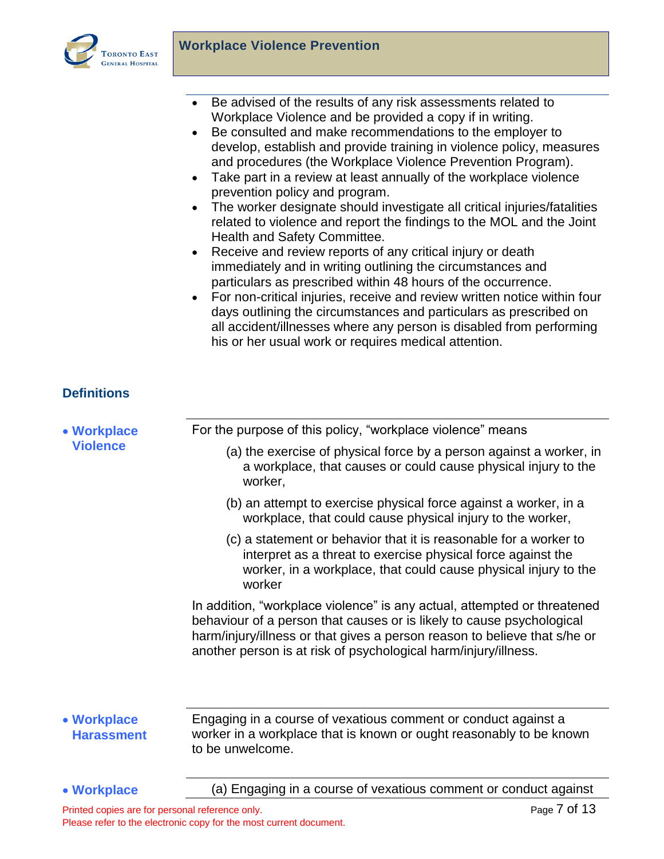

- Be advised of the results of any risk assessments related to Workplace Violence and be provided a copy if in writing.
- Be consulted and make recommendations to the employer to develop, establish and provide training in violence policy, measures and procedures (the Workplace Violence Prevention Program).
- Take part in a review at least annually of the workplace violence prevention policy and program.
- The worker designate should investigate all critical injuries/fatalities related to violence and report the findings to the MOL and the Joint Health and Safety Committee.
- Receive and review reports of any critical injury or death immediately and in writing outlining the circumstances and particulars as prescribed within 48 hours of the occurrence.
- For non-critical injuries, receive and review written notice within four days outlining the circumstances and particulars as prescribed on all accident/illnesses where any person is disabled from performing his or her usual work or requires medical attention.

# <span id="page-6-0"></span>**Definitions**

<span id="page-6-3"></span><span id="page-6-2"></span><span id="page-6-1"></span>

| • Workplace                      | For the purpose of this policy, "workplace violence" means                                                                                                                                                                                                                                        |
|----------------------------------|---------------------------------------------------------------------------------------------------------------------------------------------------------------------------------------------------------------------------------------------------------------------------------------------------|
| <b>Violence</b>                  | (a) the exercise of physical force by a person against a worker, in<br>a workplace, that causes or could cause physical injury to the<br>worker,                                                                                                                                                  |
|                                  | (b) an attempt to exercise physical force against a worker, in a<br>workplace, that could cause physical injury to the worker,                                                                                                                                                                    |
|                                  | (c) a statement or behavior that it is reasonable for a worker to<br>interpret as a threat to exercise physical force against the<br>worker, in a workplace, that could cause physical injury to the<br>worker                                                                                    |
|                                  | In addition, "workplace violence" is any actual, attempted or threatened<br>behaviour of a person that causes or is likely to cause psychological<br>harm/injury/illness or that gives a person reason to believe that s/he or<br>another person is at risk of psychological harm/injury/illness. |
|                                  |                                                                                                                                                                                                                                                                                                   |
| • Workplace<br><b>Harassment</b> | Engaging in a course of vexatious comment or conduct against a<br>worker in a workplace that is known or ought reasonably to be known<br>to be unwelcome.                                                                                                                                         |
| • Workplace                      | (a) Engaging in a course of vexatious comment or conduct against                                                                                                                                                                                                                                  |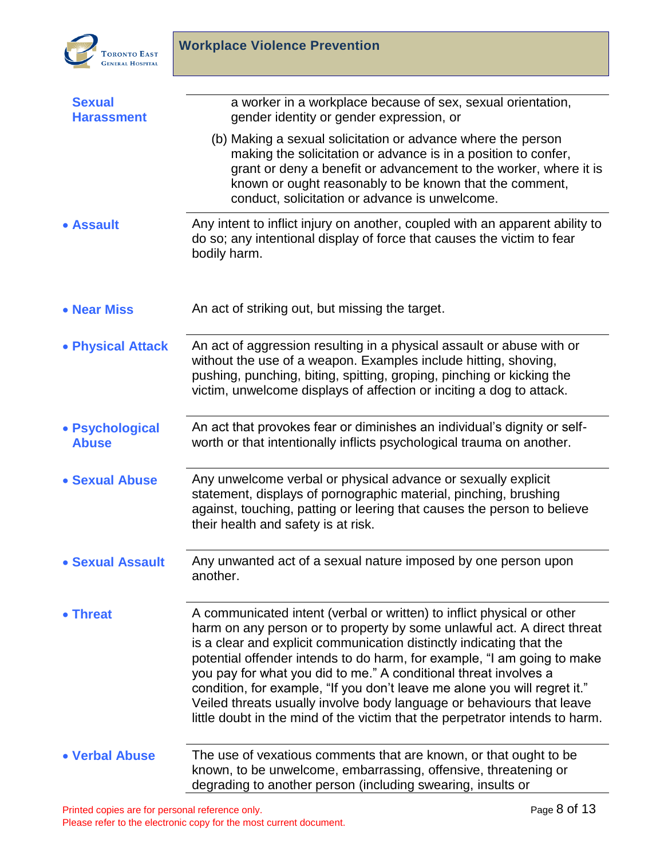

<span id="page-7-7"></span><span id="page-7-6"></span><span id="page-7-5"></span><span id="page-7-4"></span><span id="page-7-3"></span><span id="page-7-2"></span><span id="page-7-1"></span><span id="page-7-0"></span>

| <b>Sexual</b><br><b>Harassment</b> | a worker in a workplace because of sex, sexual orientation,<br>gender identity or gender expression, or                                                                                                                                                                                                                                                                                                                                                                                                                                                                                                        |
|------------------------------------|----------------------------------------------------------------------------------------------------------------------------------------------------------------------------------------------------------------------------------------------------------------------------------------------------------------------------------------------------------------------------------------------------------------------------------------------------------------------------------------------------------------------------------------------------------------------------------------------------------------|
|                                    | (b) Making a sexual solicitation or advance where the person<br>making the solicitation or advance is in a position to confer,<br>grant or deny a benefit or advancement to the worker, where it is<br>known or ought reasonably to be known that the comment,<br>conduct, solicitation or advance is unwelcome.                                                                                                                                                                                                                                                                                               |
| • Assault                          | Any intent to inflict injury on another, coupled with an apparent ability to<br>do so; any intentional display of force that causes the victim to fear<br>bodily harm.                                                                                                                                                                                                                                                                                                                                                                                                                                         |
| • Near Miss                        | An act of striking out, but missing the target.                                                                                                                                                                                                                                                                                                                                                                                                                                                                                                                                                                |
| • Physical Attack                  | An act of aggression resulting in a physical assault or abuse with or<br>without the use of a weapon. Examples include hitting, shoving,<br>pushing, punching, biting, spitting, groping, pinching or kicking the<br>victim, unwelcome displays of affection or inciting a dog to attack.                                                                                                                                                                                                                                                                                                                      |
| • Psychological<br><b>Abuse</b>    | An act that provokes fear or diminishes an individual's dignity or self-<br>worth or that intentionally inflicts psychological trauma on another.                                                                                                                                                                                                                                                                                                                                                                                                                                                              |
| • Sexual Abuse                     | Any unwelcome verbal or physical advance or sexually explicit<br>statement, displays of pornographic material, pinching, brushing<br>against, touching, patting or leering that causes the person to believe<br>their health and safety is at risk.                                                                                                                                                                                                                                                                                                                                                            |
| • Sexual Assault                   | Any unwanted act of a sexual nature imposed by one person upon<br>another.                                                                                                                                                                                                                                                                                                                                                                                                                                                                                                                                     |
| • Threat                           | A communicated intent (verbal or written) to inflict physical or other<br>harm on any person or to property by some unlawful act. A direct threat<br>is a clear and explicit communication distinctly indicating that the<br>potential offender intends to do harm, for example, "I am going to make<br>you pay for what you did to me." A conditional threat involves a<br>condition, for example, "If you don't leave me alone you will regret it."<br>Veiled threats usually involve body language or behaviours that leave<br>little doubt in the mind of the victim that the perpetrator intends to harm. |
| • Verbal Abuse                     | The use of vexatious comments that are known, or that ought to be<br>known, to be unwelcome, embarrassing, offensive, threatening or<br>degrading to another person (including swearing, insults or                                                                                                                                                                                                                                                                                                                                                                                                            |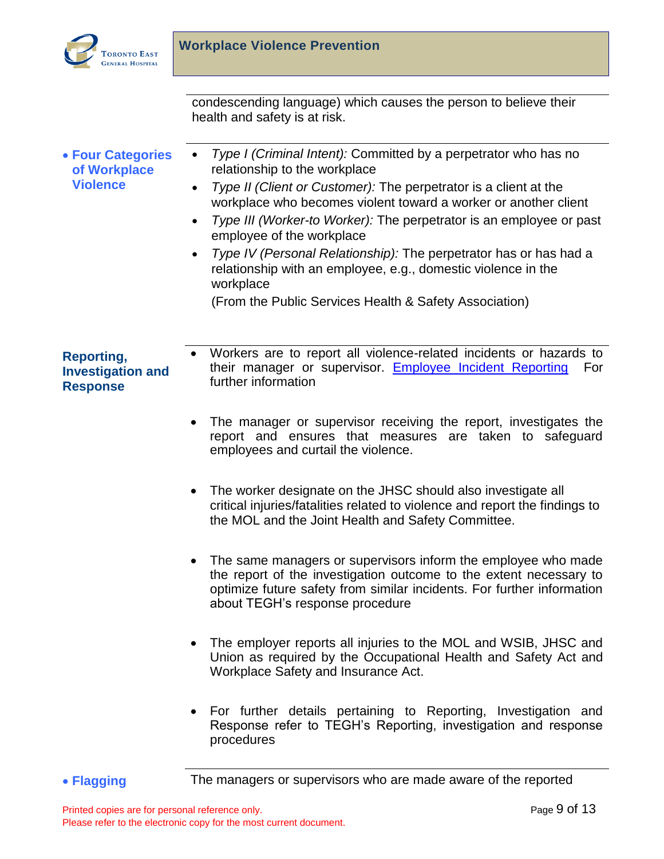

condescending language) which causes the person to believe their health and safety is at risk.

<span id="page-8-0"></span> **Four Categories of Workplace Violence**  *Type I (Criminal Intent):* Committed by a perpetrator who has no relationship to the workplace *Type II (Client or Customer):* The perpetrator is a client at the workplace who becomes violent toward a worker or another client *Type III (Worker-to Worker):* The perpetrator is an employee or past employee of the workplace *Type IV (Personal Relationship):* The perpetrator has or has had a relationship with an employee, e.g., domestic violence in the workplace (From the Public Services Health & Safety Association) **Reporting, Investigation and Response** Workers are to report all violence-related incidents or hazards to their manager or supervisor. [Employee Incident Reporting](http://sqlapp1tegh/docview/?docid=5737) For further information The manager or supervisor receiving the report, investigates the report and ensures that measures are taken to safeguard employees and curtail the violence.

- <span id="page-8-1"></span>• The worker designate on the JHSC should also investigate all critical injuries/fatalities related to violence and report the findings to the MOL and the Joint Health and Safety Committee.
- The same managers or supervisors inform the employee who made the report of the investigation outcome to the extent necessary to optimize future safety from similar incidents. For further information about TEGH's response procedure
- The employer reports all injuries to the MOL and WSIB, JHSC and Union as required by the Occupational Health and Safety Act and Workplace Safety and Insurance Act.
- For further details pertaining to Reporting, Investigation and Response refer to TEGH's Reporting, investigation and response procedures
- <span id="page-8-2"></span>**Flagging** The managers or supervisors who are made aware of the reported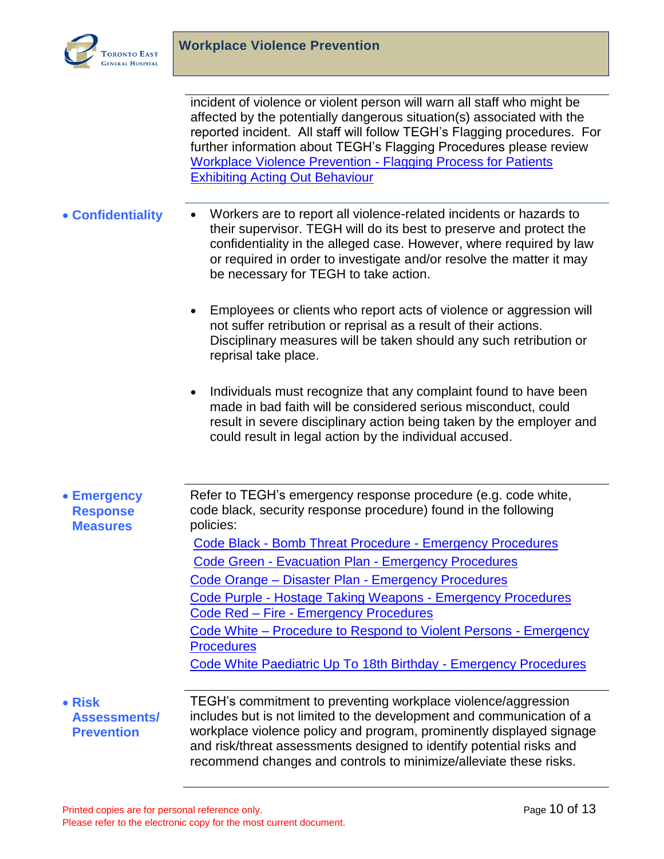

incident of violence or violent person will warn all staff who might be affected by the potentially dangerous situation(s) associated with the reported incident. All staff will follow TEGH's Flagging procedures. For further information about TEGH's Flagging Procedures please review [Workplace Violence Prevention -](http://sqlapp1tegh/docview/?docid=5452) Flagging Process for Patients [Exhibiting Acting Out Behaviour](http://sqlapp1tegh/docview/?docid=5452) 

- <span id="page-9-0"></span>• **Confidentiality** • Workers are to report all violence-related incidents or hazards to their supervisor. TEGH will do its best to preserve and protect the confidentiality in the alleged case. However, where required by law or required in order to investigate and/or resolve the matter it may be necessary for TEGH to take action.
	- Employees or clients who report acts of violence or aggression will not suffer retribution or reprisal as a result of their actions. Disciplinary measures will be taken should any such retribution or reprisal take place.
	- Individuals must recognize that any complaint found to have been made in bad faith will be considered serious misconduct, could result in severe disciplinary action being taken by the employer and could result in legal action by the individual accused.
- <span id="page-9-1"></span> **Emergency Response Measures** Refer to TEGH's emergency response procedure (e.g. code white, code black, security response procedure) found in the following policies: Code Black - [Bomb Threat Procedure -](http://sqlapp1tegh/docview/?docid=3803) Emergency Procedures Code Green - Evacuation Plan - [Emergency Procedures](http://sqlapp1tegh/docview/?docid=3447) Code Orange – Disaster Plan - [Emergency Procedures](http://sqlapp1tegh/docview/?docid=3344) Code Purple - [Hostage Taking Weapons -](http://sqlapp1tegh/docview/?docid=2344) Emergency Procedures Code Red – Fire - [Emergency Procedures](http://sqlapp1tegh/docview/?docid=5024) Code White – [Procedure to Respond to Violent Persons -](http://sqlapp1tegh/docview/?docid=2181) Emergency **[Procedures](http://sqlapp1tegh/docview/?docid=2181)** [Code White Paediatric Up To 18th Birthday -](http://sqlapp1tegh/docview/?docid=3505) Emergency Procedures **Risk**

# <span id="page-9-2"></span>**Assessments/ Prevention**

TEGH's commitment to preventing workplace violence/aggression includes but is not limited to the development and communication of a workplace violence policy and program, prominently displayed signage and risk/threat assessments designed to identify potential risks and recommend changes and controls to minimize/alleviate these risks.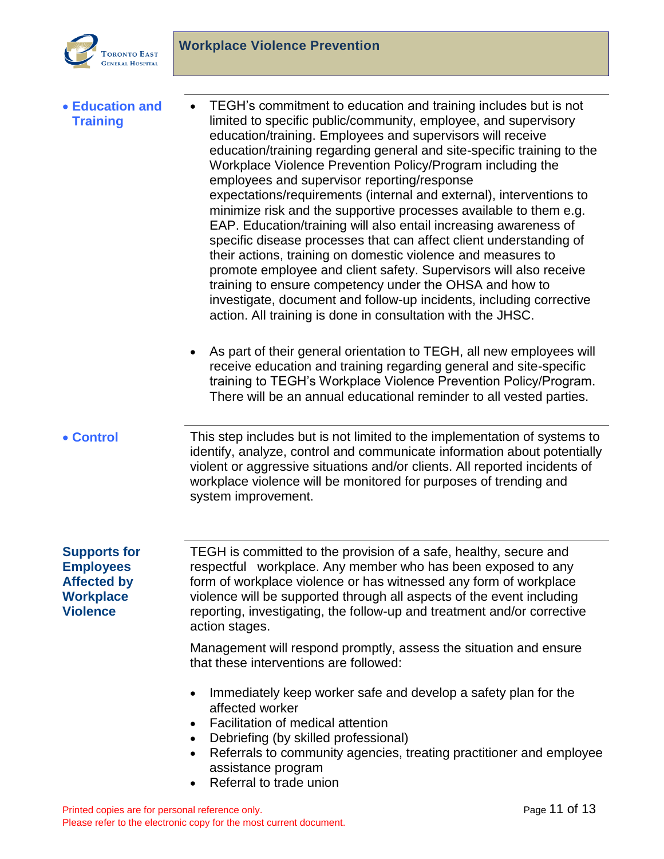

<span id="page-10-2"></span><span id="page-10-1"></span><span id="page-10-0"></span>

| <b>• Education and</b><br><b>Training</b>                                                            | TEGH's commitment to education and training includes but is not<br>$\bullet$<br>limited to specific public/community, employee, and supervisory<br>education/training. Employees and supervisors will receive<br>education/training regarding general and site-specific training to the<br>Workplace Violence Prevention Policy/Program including the<br>employees and supervisor reporting/response<br>expectations/requirements (internal and external), interventions to<br>minimize risk and the supportive processes available to them e.g.<br>EAP. Education/training will also entail increasing awareness of<br>specific disease processes that can affect client understanding of<br>their actions, training on domestic violence and measures to<br>promote employee and client safety. Supervisors will also receive<br>training to ensure competency under the OHSA and how to<br>investigate, document and follow-up incidents, including corrective<br>action. All training is done in consultation with the JHSC.<br>As part of their general orientation to TEGH, all new employees will<br>receive education and training regarding general and site-specific<br>training to TEGH's Workplace Violence Prevention Policy/Program.<br>There will be an annual educational reminder to all vested parties. |
|------------------------------------------------------------------------------------------------------|---------------------------------------------------------------------------------------------------------------------------------------------------------------------------------------------------------------------------------------------------------------------------------------------------------------------------------------------------------------------------------------------------------------------------------------------------------------------------------------------------------------------------------------------------------------------------------------------------------------------------------------------------------------------------------------------------------------------------------------------------------------------------------------------------------------------------------------------------------------------------------------------------------------------------------------------------------------------------------------------------------------------------------------------------------------------------------------------------------------------------------------------------------------------------------------------------------------------------------------------------------------------------------------------------------------------------|
|                                                                                                      |                                                                                                                                                                                                                                                                                                                                                                                                                                                                                                                                                                                                                                                                                                                                                                                                                                                                                                                                                                                                                                                                                                                                                                                                                                                                                                                           |
| • Control                                                                                            | This step includes but is not limited to the implementation of systems to<br>identify, analyze, control and communicate information about potentially<br>violent or aggressive situations and/or clients. All reported incidents of<br>workplace violence will be monitored for purposes of trending and<br>system improvement.                                                                                                                                                                                                                                                                                                                                                                                                                                                                                                                                                                                                                                                                                                                                                                                                                                                                                                                                                                                           |
| <b>Supports for</b><br><b>Employees</b><br><b>Affected by</b><br><b>Workplace</b><br><b>Violence</b> | TEGH is committed to the provision of a safe, healthy, secure and<br>respectful workplace. Any member who has been exposed to any<br>form of workplace violence or has witnessed any form of workplace<br>violence will be supported through all aspects of the event including<br>reporting, investigating, the follow-up and treatment and/or corrective<br>action stages.                                                                                                                                                                                                                                                                                                                                                                                                                                                                                                                                                                                                                                                                                                                                                                                                                                                                                                                                              |
|                                                                                                      | Management will respond promptly, assess the situation and ensure<br>that these interventions are followed:                                                                                                                                                                                                                                                                                                                                                                                                                                                                                                                                                                                                                                                                                                                                                                                                                                                                                                                                                                                                                                                                                                                                                                                                               |
|                                                                                                      | Immediately keep worker safe and develop a safety plan for the<br>$\bullet$<br>affected worker<br>Facilitation of medical attention<br>$\bullet$<br>Debriefing (by skilled professional)<br>$\bullet$<br>Referrals to community agencies, treating practitioner and employee<br>$\bullet$<br>assistance program<br>Referral to trade union<br>$\bullet$                                                                                                                                                                                                                                                                                                                                                                                                                                                                                                                                                                                                                                                                                                                                                                                                                                                                                                                                                                   |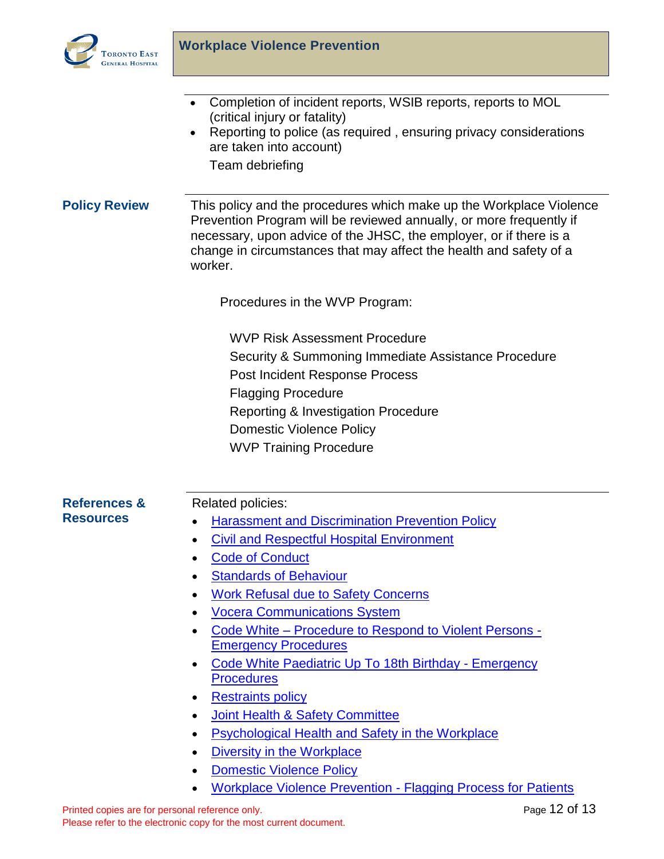

- Completion of incident reports, WSIB reports, reports to MOL (critical injury or fatality)
- Reporting to police (as required, ensuring privacy considerations are taken into account)

Team debriefing

## <span id="page-11-0"></span>**Policy Review** This policy and the procedures which make up the Workplace Violence Prevention Program will be reviewed annually, or more frequently if necessary, upon advice of the JHSC, the employer, or if there is a change in circumstances that may affect the health and safety of a worker.

Procedures in the WVP Program:

WVP Risk Assessment Procedure Security & Summoning Immediate Assistance Procedure Post Incident Response Process Flagging Procedure Reporting & Investigation Procedure Domestic Violence Policy WVP Training Procedure

## <span id="page-11-1"></span>**References & Resources**

## Related policies:

- **Harassment and Discrimination Prevention Policy**
- [Civil and Respectful Hospital Environment](http://sqlapp1tegh/docview/?docid=1256)
- [Code of Conduct](http://sqlapp1tegh/docview/?docid=5100)
- **Standards of Behaviour**
- [Work Refusal due to Safety Concerns](http://sqlapp1tegh/docview/?docid=5706)
- [Vocera Communications System](http://sqlapp1tegh/docview/?docid=4075)
- Code White [Procedure to Respond to Violent Persons -](http://sqlapp1tegh/docview/?docid=2181) [Emergency Procedures](http://sqlapp1tegh/docview/?docid=2181)
- [Code White Paediatric Up To 18th Birthday -](http://sqlapp1tegh/docview/?docid=3505) Emergency **Procedures**
- [Restraints policy](http://sqlapp1tegh/docview/?docid=6552)
- [Joint Health & Safety Committee](http://sqlapp1tegh/docview/?docid=5504)
- [Psychological Health and Safety in the Workplace](http://sqlapp1tegh/docview/?docid=4150)
- [Diversity in the Workplace](http://sqlapp1tegh/docview/?docid=1260)
- [Domestic Violence Policy](http://sqlapp1tegh/docview/?docid=4537)
- [Workplace Violence Prevention -](http://sqlapp1tegh/docview/?docid=5452) Flagging Process for Patients